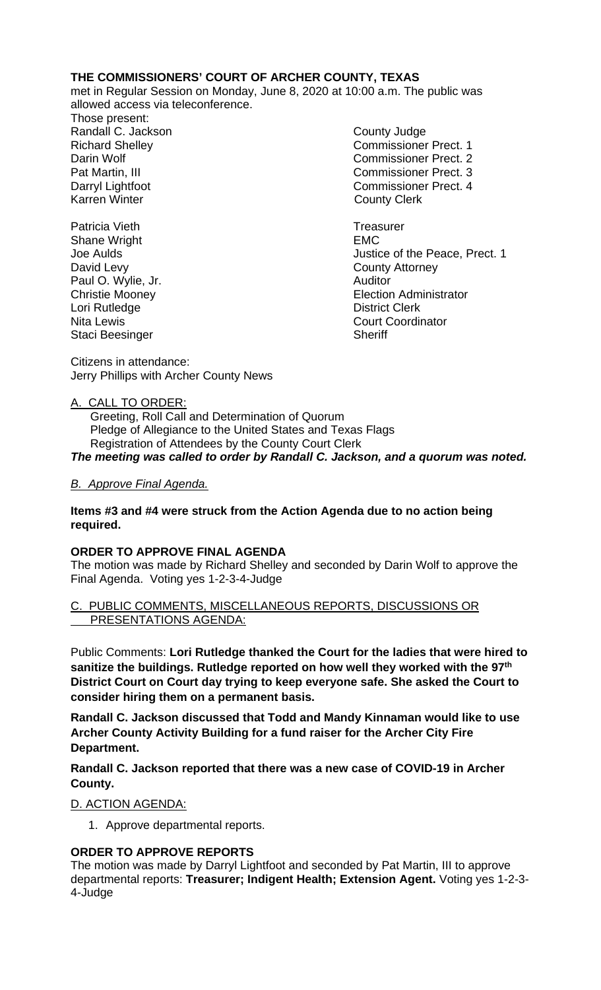### **THE COMMISSIONERS' COURT OF ARCHER COUNTY, TEXAS**

met in Regular Session on Monday, June 8, 2020 at 10:00 a.m. The public was allowed access via teleconference.

Those present: Randall C. Jackson **County Judge** 

Patricia Vieth **Treasurer Treasurer** Shane Wright **EMC** David Levy County Attorney Paul O. Wylie, Jr. Lori Rutledge **District Clerk**<br>Nita Lewis **District Clerk**<br>Court Coordin Staci Beesinger

Richard Shelley Commissioner Prect. 1 Darin Wolf Commissioner Prect. 2 Pat Martin, III Commissioner Prect. 3 Darryl Lightfoot **Commissioner Prect. 4**<br>
Karren Winter **County County Clerk County Clerk** 

Joe Aulds Justice of the Peace, Prect. 1 Christie Mooney Election Administrator **Court Coordinator**<br>Sheriff

Citizens in attendance: Jerry Phillips with Archer County News

# A. CALL TO ORDER:

 Greeting, Roll Call and Determination of Quorum Pledge of Allegiance to the United States and Texas Flags Registration of Attendees by the County Court Clerk *The meeting was called to order by Randall C. Jackson, and a quorum was noted.*

# *B. Approve Final Agenda.*

### **Items #3 and #4 were struck from the Action Agenda due to no action being required.**

### **ORDER TO APPROVE FINAL AGENDA**

The motion was made by Richard Shelley and seconded by Darin Wolf to approve the Final Agenda. Voting yes 1-2-3-4-Judge

### PUBLIC COMMENTS, MISCELLANEOUS REPORTS, DISCUSSIONS OR PRESENTATIONS AGENDA:

Public Comments: **Lori Rutledge thanked the Court for the ladies that were hired to sanitize the buildings. Rutledge reported on how well they worked with the 97th District Court on Court day trying to keep everyone safe. She asked the Court to consider hiring them on a permanent basis.**

**Randall C. Jackson discussed that Todd and Mandy Kinnaman would like to use Archer County Activity Building for a fund raiser for the Archer City Fire Department.**

**Randall C. Jackson reported that there was a new case of COVID-19 in Archer County.**

### D. ACTION AGENDA:

1. Approve departmental reports.

# **ORDER TO APPROVE REPORTS**

The motion was made by Darryl Lightfoot and seconded by Pat Martin, III to approve departmental reports: **Treasurer; Indigent Health; Extension Agent.** Voting yes 1-2-3- 4-Judge